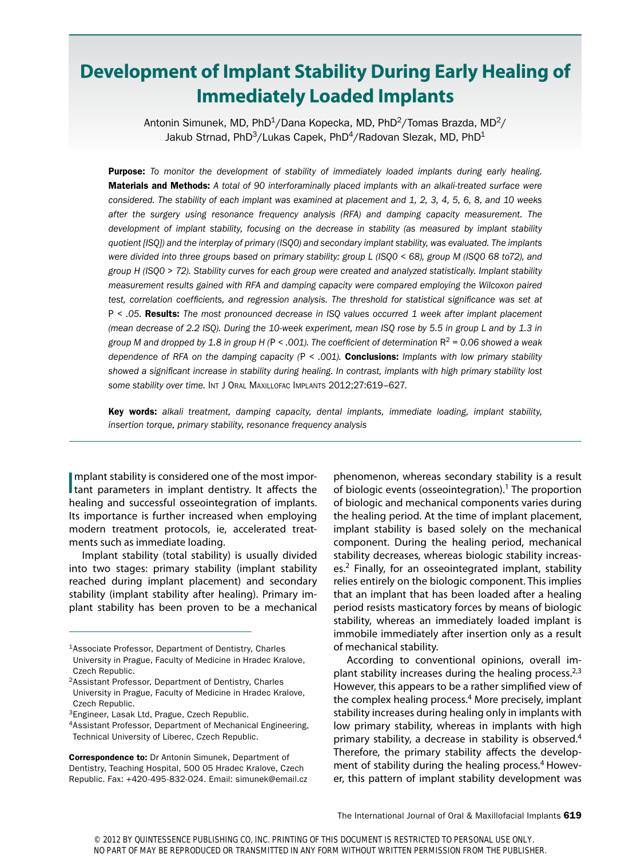# **Development of Implant Stability During Early Healing of Immediately Loaded Implants**

Antonin Simunek, MD, PhD<sup>1</sup>/Dana Kopecka, MD, PhD<sup>2</sup>/Tomas Brazda, MD<sup>2</sup>/ Jakub Strnad, PhD<sup>3</sup>/Lukas Capek, PhD<sup>4</sup>/Radovan Slezak, MD, PhD<sup>1</sup>

Purpose: *To monitor the development of stability of immediately loaded implants during early healing.*  Materials and Methods: *A total of 90 interforaminally placed implants with an alkali-treated surface were considered. The stability of each implant was examined at placement and 1, 2, 3, 4, 5, 6, 8, and 10 weeks after the surgery using resonance frequency analysis (RFA) and damping capacity measurement. The development of implant stability, focusing on the decrease in stability (as measured by implant stability quotient [ISQ]) and the interplay of primary (ISQ0) and secondary implant stability, was evaluated. The implants were divided into three groups based on primary stability: group L (ISQ0 < 68), group M (ISQ0 68 to72), and group H (ISQ0 > 72). Stability curves for each group were created and analyzed statistically. Implant stability measurement results gained with RFA and damping capacity were compared employing the Wilcoxon paired*  test, correlation coefficients, and regression analysis. The threshold for statistical significance was set at P *< .05.* Results: *The most pronounced decrease in ISQ values occurred 1 week after implant placement (mean decrease of 2.2 ISQ). During the 10-week experiment, mean ISQ rose by 5.5 in group L and by 1.3 in group M and dropped by 1.8 in group H (*P *< .001). The coefficient of determination* R<sup>2</sup> *= 0.06 showed a weak dependence of RFA on the damping capacity (*P *< .001).* Conclusions: *Implants with low primary stability showed a significant increase in stability during healing. In contrast, implants with high primary stability lost some stability over time.* Int J Oral Maxillofac Implants 2012;27:619–627.

Key words: *alkali treatment, damping capacity, dental implants, immediate loading, implant stability, insertion torque, primary stability, resonance frequency analysis*

Implant stability is considered one of the most important parameters in implant dentistry. It affects the mplant stability is considered one of the most imporhealing and successful osseointegration of implants. Its importance is further increased when employing modern treatment protocols, ie, accelerated treatments such as immediate loading.

Implant stability (total stability) is usually divided into two stages: primary stability (implant stability reached during implant placement) and secondary stability (implant stability after healing). Primary implant stability has been proven to be a mechanical

Correspondence to: Dr Antonin Simunek, Department of Dentistry, Teaching Hospital, 500 05 Hradec Kralove, Czech Republic. Fax: +420-495-832-024. Email: simunek@email.cz phenomenon, whereas secondary stability is a result of biologic events (osseointegration).<sup>1</sup> The proportion of biologic and mechanical components varies during the healing period. At the time of implant placement, implant stability is based solely on the mechanical component. During the healing period, mechanical stability decreases, whereas biologic stability increases.2 Finally, for an osseointegrated implant, stability relies entirely on the biologic component. This implies that an implant that has been loaded after a healing period resists masticatory forces by means of biologic stability, whereas an immediately loaded implant is immobile immediately after insertion only as a result of mechanical stability.

According to conventional opinions, overall implant stability increases during the healing process. $2,3$ However, this appears to be a rather simplified view of the complex healing process.<sup>4</sup> More precisely, implant stability increases during healing only in implants with low primary stability, whereas in implants with high primary stability, a decrease in stability is observed.4 Therefore, the primary stability affects the development of stability during the healing process.<sup>4</sup> However, this pattern of implant stability development was

<sup>1</sup>Associate Professor, Department of Dentistry, Charles University in Prague, Faculty of Medicine in Hradec Kralove, Czech Republic.

<sup>2</sup>Assistant Professor, Department of Dentistry, Charles University in Prague, Faculty of Medicine in Hradec Kralove, Czech Republic.

<sup>3</sup>Engineer, Lasak Ltd, Prague, Czech Republic.

<sup>4</sup>Assistant Professor, Department of Mechanical Engineering, Technical University of Liberec, Czech Republic.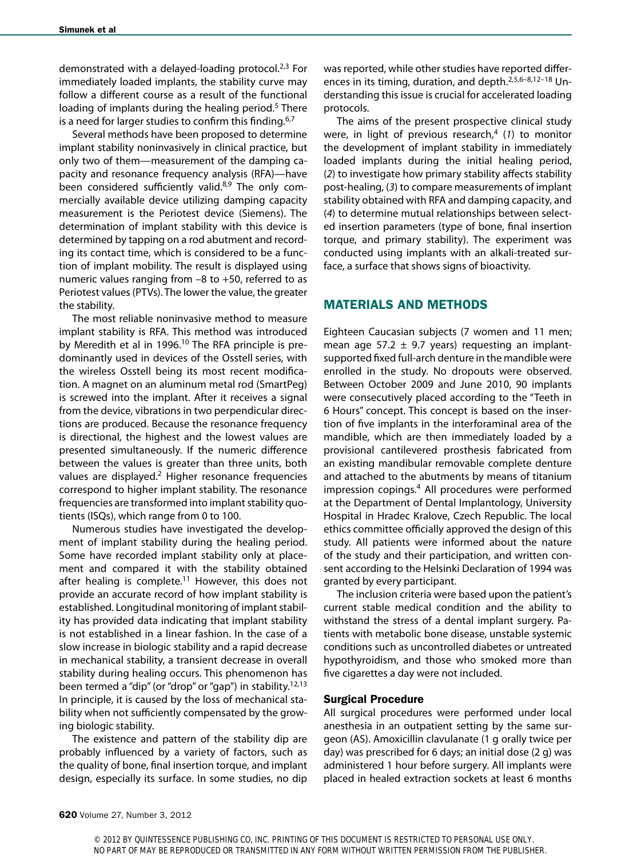demonstrated with a delayed-loading protocol. $2,3$  For immediately loaded implants, the stability curve may follow a different course as a result of the functional loading of implants during the healing period.<sup>5</sup> There is a need for larger studies to confirm this finding.<sup>6,7</sup>

Several methods have been proposed to determine implant stability noninvasively in clinical practice, but only two of them—measurement of the damping capacity and resonance frequency analysis (RFA)—have been considered sufficiently valid.<sup>8,9</sup> The only commercially available device utilizing damping capacity measurement is the Periotest device (Siemens). The determination of implant stability with this device is determined by tapping on a rod abutment and recording its contact time, which is considered to be a function of implant mobility. The result is displayed using numeric values ranging from –8 to +50, referred to as Periotest values (PTVs). The lower the value, the greater the stability.

The most reliable noninvasive method to measure implant stability is RFA. This method was introduced by Meredith et al in 1996.<sup>10</sup> The RFA principle is predominantly used in devices of the Osstell series, with the wireless Osstell being its most recent modification. A magnet on an aluminum metal rod (SmartPeg) is screwed into the implant. After it receives a signal from the device, vibrations in two perpendicular directions are produced. Because the resonance frequency is directional, the highest and the lowest values are presented simultaneously. If the numeric difference between the values is greater than three units, both values are displayed.<sup>2</sup> Higher resonance frequencies correspond to higher implant stability. The resonance frequencies are transformed into implant stability quotients (ISQs), which range from 0 to 100.

Numerous studies have investigated the development of implant stability during the healing period. Some have recorded implant stability only at placement and compared it with the stability obtained after healing is complete.<sup>11</sup> However, this does not provide an accurate record of how implant stability is established. Longitudinal monitoring of implant stability has provided data indicating that implant stability is not established in a linear fashion. In the case of a slow increase in biologic stability and a rapid decrease in mechanical stability, a transient decrease in overall stability during healing occurs. This phenomenon has been termed a "dip" (or "drop" or "gap") in stability.<sup>12,13</sup> In principle, it is caused by the loss of mechanical stability when not sufficiently compensated by the growing biologic stability.

The existence and pattern of the stability dip are probably influenced by a variety of factors, such as the quality of bone, final insertion torque, and implant design, especially its surface. In some studies, no dip was reported, while other studies have reported differences in its timing, duration, and depth.2,5,6–8,12–18 Understanding this issue is crucial for accelerated loading protocols.

The aims of the present prospective clinical study were, in light of previous research,<sup>4</sup> (1) to monitor the development of implant stability in immediately loaded implants during the initial healing period, (*2*) to investigate how primary stability affects stability post-healing, (*3*) to compare measurements of implant stability obtained with RFA and damping capacity, and (*4*) to determine mutual relationships between selected insertion parameters (type of bone, final insertion torque, and primary stability). The experiment was conducted using implants with an alkali-treated surface, a surface that shows signs of bioactivity.

# MATERIALs AND METHODS

Eighteen Caucasian subjects (7 women and 11 men; mean age 57.2  $\pm$  9.7 years) requesting an implantsupported fixed full-arch denture in the mandible were enrolled in the study. No dropouts were observed. Between October 2009 and June 2010, 90 implants were consecutively placed according to the "Teeth in 6 Hours" concept. This concept is based on the insertion of five implants in the interforaminal area of the mandible, which are then immediately loaded by a provisional cantilevered prosthesis fabricated from an existing mandibular removable complete denture and attached to the abutments by means of titanium impression copings.4 All procedures were performed at the Department of Dental Implantology, University Hospital in Hradec Kralove, Czech Republic. The local ethics committee officially approved the design of this study. All patients were informed about the nature of the study and their participation, and written consent according to the Helsinki Declaration of 1994 was granted by every participant.

The inclusion criteria were based upon the patient's current stable medical condition and the ability to withstand the stress of a dental implant surgery. Patients with metabolic bone disease, unstable systemic conditions such as uncontrolled diabetes or untreated hypothyroidism, and those who smoked more than five cigarettes a day were not included.

## Surgical Procedure

All surgical procedures were performed under local anesthesia in an outpatient setting by the same surgeon (AS). Amoxicillin clavulanate (1 g orally twice per day) was prescribed for 6 days; an initial dose (2 g) was administered 1 hour before surgery. All implants were placed in healed extraction sockets at least 6 months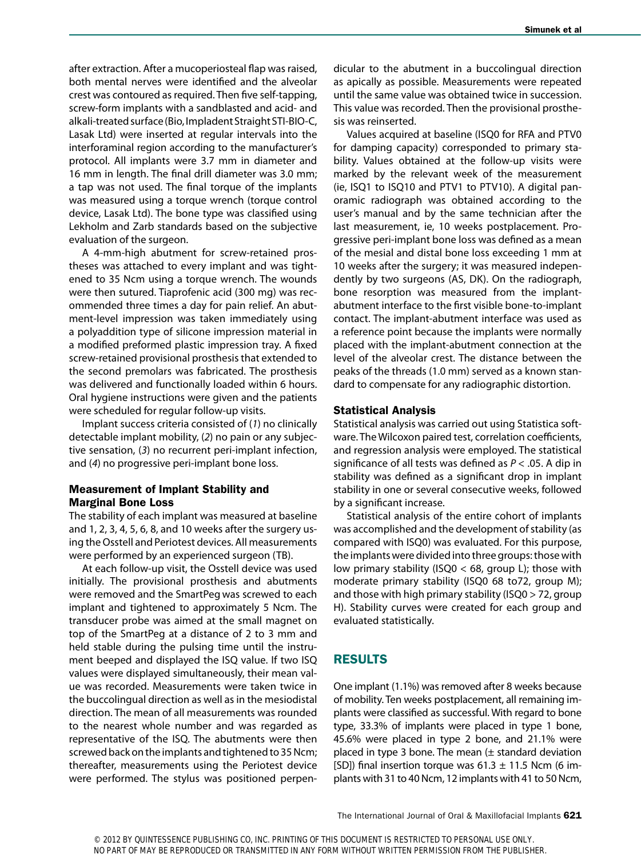after extraction. After a mucoperiosteal flap was raised, both mental nerves were identified and the alveolar crest was contoured as required. Then five self-tapping, screw-form implants with a sandblasted and acid- and alkali-treated surface (Bio, Impladent Straight STI-BIO-C, Lasak Ltd) were inserted at regular intervals into the interforaminal region according to the manufacturer's protocol. All implants were 3.7 mm in diameter and 16 mm in length. The final drill diameter was 3.0 mm; a tap was not used. The final torque of the implants was measured using a torque wrench (torque control device, Lasak Ltd). The bone type was classified using Lekholm and Zarb standards based on the subjective evaluation of the surgeon.

A 4-mm-high abutment for screw-retained prostheses was attached to every implant and was tightened to 35 Ncm using a torque wrench. The wounds were then sutured. Tiaprofenic acid (300 mg) was recommended three times a day for pain relief. An abutment-level impression was taken immediately using a polyaddition type of silicone impression material in a modified preformed plastic impression tray. A fixed screw-retained provisional prosthesis that extended to the second premolars was fabricated. The prosthesis was delivered and functionally loaded within 6 hours. Oral hygiene instructions were given and the patients were scheduled for regular follow-up visits.

Implant success criteria consisted of (*1*) no clinically detectable implant mobility, (*2*) no pain or any subjective sensation, (*3*) no recurrent peri-implant infection, and (*4*) no progressive peri-implant bone loss.

#### Measurement of Implant Stability and Marginal Bone Loss

The stability of each implant was measured at baseline and 1, 2, 3, 4, 5, 6, 8, and 10 weeks after the surgery using the Osstell and Periotest devices. All measurements were performed by an experienced surgeon (TB).

At each follow-up visit, the Osstell device was used initially. The provisional prosthesis and abutments were removed and the SmartPeg was screwed to each implant and tightened to approximately 5 Ncm. The transducer probe was aimed at the small magnet on top of the SmartPeg at a distance of 2 to 3 mm and held stable during the pulsing time until the instrument beeped and displayed the ISQ value. If two ISQ values were displayed simultaneously, their mean value was recorded. Measurements were taken twice in the buccolingual direction as well as in the mesiodistal direction. The mean of all measurements was rounded to the nearest whole number and was regarded as representative of the ISQ. The abutments were then screwed back on the implants and tightened to 35 Ncm; thereafter, measurements using the Periotest device were performed. The stylus was positioned perpendicular to the abutment in a buccolingual direction as apically as possible. Measurements were repeated until the same value was obtained twice in succession. This value was recorded. Then the provisional prosthesis was reinserted.

Values acquired at baseline (ISQ0 for RFA and PTV0 for damping capacity) corresponded to primary stability. Values obtained at the follow-up visits were marked by the relevant week of the measurement (ie, ISQ1 to ISQ10 and PTV1 to PTV10). A digital panoramic radiograph was obtained according to the user's manual and by the same technician after the last measurement, ie, 10 weeks postplacement. Progressive peri-implant bone loss was defined as a mean of the mesial and distal bone loss exceeding 1 mm at 10 weeks after the surgery; it was measured independently by two surgeons (AS, DK). On the radiograph, bone resorption was measured from the implantabutment interface to the first visible bone-to-implant contact. The implant-abutment interface was used as a reference point because the implants were normally placed with the implant-abutment connection at the level of the alveolar crest. The distance between the peaks of the threads (1.0 mm) served as a known standard to compensate for any radiographic distortion.

#### Statistical Analysis

Statistical analysis was carried out using Statistica software. The Wilcoxon paired test, correlation coefficients, and regression analysis were employed. The statistical significance of all tests was defined as *P* < .05. A dip in stability was defined as a significant drop in implant stability in one or several consecutive weeks, followed by a significant increase.

Statistical analysis of the entire cohort of implants was accomplished and the development of stability (as compared with ISQ0) was evaluated. For this purpose, the implants were divided into three groups: those with low primary stability (ISQ0  $<$  68, group L); those with moderate primary stability (ISQ0 68 to72, group M); and those with high primary stability (ISQ0 > 72, group H). Stability curves were created for each group and evaluated statistically.

## RESULTS

One implant (1.1%) was removed after 8 weeks because of mobility. Ten weeks postplacement, all remaining implants were classified as successful. With regard to bone type, 33.3% of implants were placed in type 1 bone, 45.6% were placed in type 2 bone, and 21.1% were placed in type 3 bone. The mean (± standard deviation [SD]) final insertion torque was  $61.3 \pm 11.5$  Ncm (6 implants with 31 to 40 Ncm, 12 implants with 41 to 50 Ncm,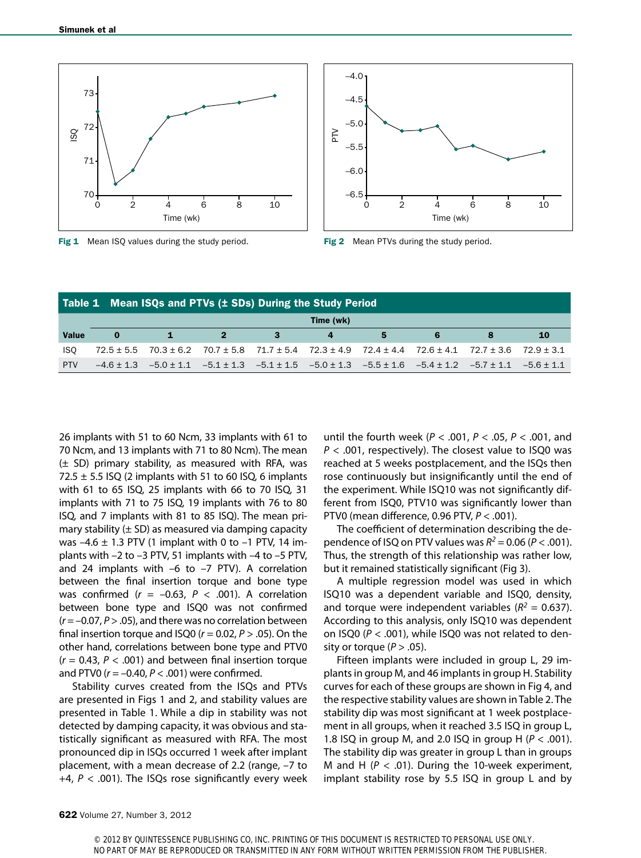

Fig 1 Mean ISQ values during the study period. Fig 2 Mean PTVs during the study period.



| Table 1 Mean ISQs and PTVs (± SDs) During the Study Period |           |              |            |      |                                                                                                                                        |   |  |  |           |  |  |  |
|------------------------------------------------------------|-----------|--------------|------------|------|----------------------------------------------------------------------------------------------------------------------------------------|---|--|--|-----------|--|--|--|
|                                                            | Time (wk) |              |            |      |                                                                                                                                        |   |  |  |           |  |  |  |
| <b>Value</b>                                               | $\bf o$   | $\mathbf{1}$ | $\sqrt{2}$ | $-3$ | $\overline{4}$                                                                                                                         | 5 |  |  | <b>10</b> |  |  |  |
| <b>ISO</b>                                                 |           |              |            |      | $72.5 \pm 5.5$ $70.3 \pm 6.2$ $70.7 \pm 5.8$ $71.7 \pm 5.4$ $72.3 \pm 4.9$ $72.4 \pm 4.4$ $72.6 \pm 4.1$ $72.7 \pm 3.6$ $72.9 \pm 3.1$ |   |  |  |           |  |  |  |
| <b>PTV</b>                                                 |           |              |            |      | $-4.6 \pm 1.3$ $-5.0 \pm 1.1$ $-5.1 \pm 1.3$ $-5.1 \pm 1.5$ $-5.0 \pm 1.3$ $-5.5 \pm 1.6$ $-5.4 \pm 1.2$ $-5.7 \pm 1.1$ $-5.6 \pm 1.1$ |   |  |  |           |  |  |  |

26 implants with 51 to 60 Ncm, 33 implants with 61 to 70 Ncm, and 13 implants with 71 to 80 Ncm). The mean (± SD) primary stability, as measured with RFA, was 72.5  $\pm$  5.5 ISQ (2 implants with 51 to 60 ISQ, 6 implants with 61 to 65 ISQ, 25 implants with 66 to 70 ISQ, 31 implants with 71 to 75 ISQ, 19 implants with 76 to 80 ISQ, and 7 implants with 81 to 85 ISQ). The mean primary stability  $(\pm$  SD) as measured via damping capacity was  $-4.6 \pm 1.3$  PTV (1 implant with 0 to  $-1$  PTV, 14 implants with –2 to –3 PTV, 51 implants with –4 to –5 PTV, and 24 implants with  $-6$  to  $-7$  PTV). A correlation between the final insertion torque and bone type was confirmed  $(r = -0.63, P < .001)$ . A correlation between bone type and ISQ0 was not confirmed (*r* = –0.07, *P* > .05), and there was no correlation between final insertion torque and ISQ0 (*r* = 0.02, *P* > .05). On the other hand, correlations between bone type and PTV0 (*r* = 0.43, *P* < .001) and between final insertion torque and PTV0 (*r* = –0.40, *P* < .001) were confirmed.

Stability curves created from the ISQs and PTVs are presented in Figs 1 and 2, and stability values are presented in Table 1. While a dip in stability was not detected by damping capacity, it was obvious and statistically significant as measured with RFA. The most pronounced dip in ISQs occurred 1 week after implant placement, with a mean decrease of 2.2 (range, –7 to +4, *P* < .001). The ISQs rose significantly every week until the fourth week (*P* < .001, *P* < .05, *P* < .001, and *P* < .001, respectively). The closest value to ISQ0 was reached at 5 weeks postplacement, and the ISQs then rose continuously but insignificantly until the end of the experiment. While ISQ10 was not significantly different from ISQ0, PTV10 was significantly lower than PTV0 (mean difference, 0.96 PTV, *P* < .001).

The coefficient of determination describing the dependence of ISQ on PTV values was  $R^2 = 0.06$  ( $P < .001$ ). Thus, the strength of this relationship was rather low, but it remained statistically significant (Fig 3).

A multiple regression model was used in which ISQ10 was a dependent variable and ISQ0, density, and torque were independent variables ( $R^2$  = 0.637). According to this analysis, only ISQ10 was dependent on ISQ0 (*P* < .001), while ISQ0 was not related to density or torque  $(P > .05)$ .

Fifteen implants were included in group L, 29 implants in group M, and 46 implants in group H. Stability curves for each of these groups are shown in Fig 4, and the respective stability values are shown in Table 2. The stability dip was most significant at 1 week postplacement in all groups, when it reached 3.5 ISQ in group L, 1.8 ISQ in group M, and 2.0 ISQ in group H (*P* < .001). The stability dip was greater in group L than in groups M and H  $(P < .01)$ . During the 10-week experiment, implant stability rose by 5.5 ISQ in group L and by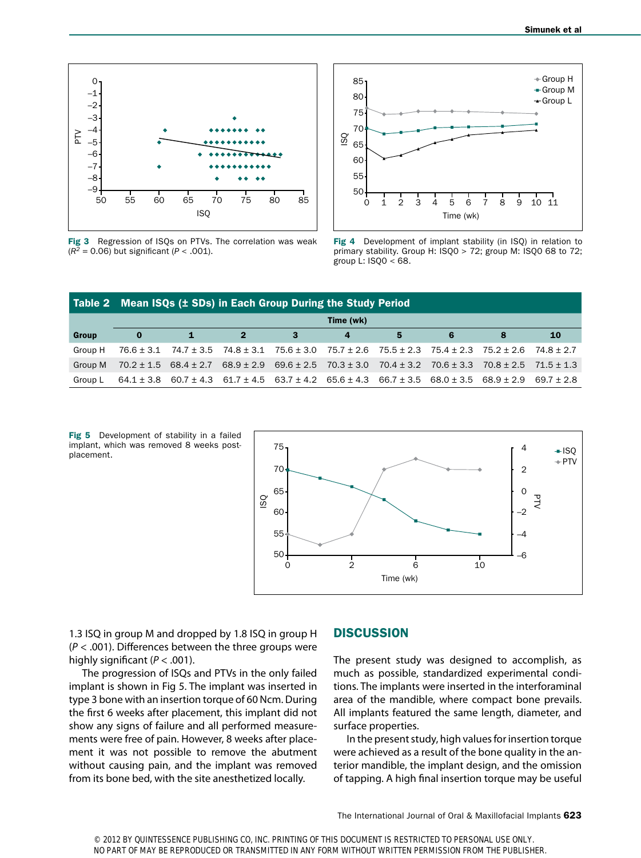

Fig 3 Regression of ISQs on PTVs. The correlation was weak  $(R^2 = 0.06)$  but significant (*P* < .001).



Fig 4 Development of implant stability (in ISO) in relation to primary stability. Group H: ISQ0 > 72; group M: ISQ0 68 to 72; group L: ISQ0 < 68.

|         | Table 2 Mean ISQs (± SDs) in Each Group During the Study Period |                                                                                                                                        |                                                                                                          |    |   |   |   |                                                             |                |  |  |
|---------|-----------------------------------------------------------------|----------------------------------------------------------------------------------------------------------------------------------------|----------------------------------------------------------------------------------------------------------|----|---|---|---|-------------------------------------------------------------|----------------|--|--|
|         | Time (wk)                                                       |                                                                                                                                        |                                                                                                          |    |   |   |   |                                                             |                |  |  |
| Group   | $\bf{0}$                                                        | $\mathbf{1}$                                                                                                                           | $\overline{\mathbf{2}}$                                                                                  | -3 | 4 | 5 | 6 |                                                             | <b>10</b>      |  |  |
| Group H | 76.6 ± 3.1                                                      |                                                                                                                                        | $74.7 \pm 3.5$ $74.8 \pm 3.1$ $75.6 \pm 3.0$ $75.7 \pm 2.6$ $75.5 \pm 2.3$ $75.4 \pm 2.3$ $75.2 \pm 2.6$ |    |   |   |   |                                                             | $74.8 \pm 2.7$ |  |  |
| Group M |                                                                 | $70.2 \pm 1.5$ 68.4 $\pm$ 2.7 68.9 $\pm$ 2.9 69.6 $\pm$ 2.5 70.3 $\pm$ 3.0                                                             |                                                                                                          |    |   |   |   | $70.4 \pm 3.2$ $70.6 \pm 3.3$ $70.8 \pm 2.5$ $71.5 \pm 1.3$ |                |  |  |
| Group L |                                                                 | $64.1 \pm 3.8$ $60.7 \pm 4.3$ $61.7 \pm 4.5$ $63.7 \pm 4.2$ $65.6 \pm 4.3$ $66.7 \pm 3.5$ $68.0 \pm 3.5$ $68.9 \pm 2.9$ $69.7 \pm 2.8$ |                                                                                                          |    |   |   |   |                                                             |                |  |  |

Fig 5 Development of stability in a failed implant, which was removed 8 weeks postplacement.



1.3 ISQ in group M and dropped by 1.8 ISQ in group H (*P* < .001). Differences between the three groups were highly significant (*P* < .001).

The progression of ISQs and PTVs in the only failed implant is shown in Fig 5. The implant was inserted in type 3 bone with an insertion torque of 60 Ncm. During the first 6 weeks after placement, this implant did not show any signs of failure and all performed measurements were free of pain. However, 8 weeks after placement it was not possible to remove the abutment without causing pain, and the implant was removed from its bone bed, with the site anesthetized locally.

#### **DISCUSSION**

The present study was designed to accomplish, as much as possible, standardized experimental conditions. The implants were inserted in the interforaminal area of the mandible, where compact bone prevails. All implants featured the same length, diameter, and surface properties.

In the present study, high values for insertion torque were achieved as a result of the bone quality in the anterior mandible, the implant design, and the omission of tapping. A high final insertion torque may be useful

The International Journal of Oral & Maxillofacial Implants 623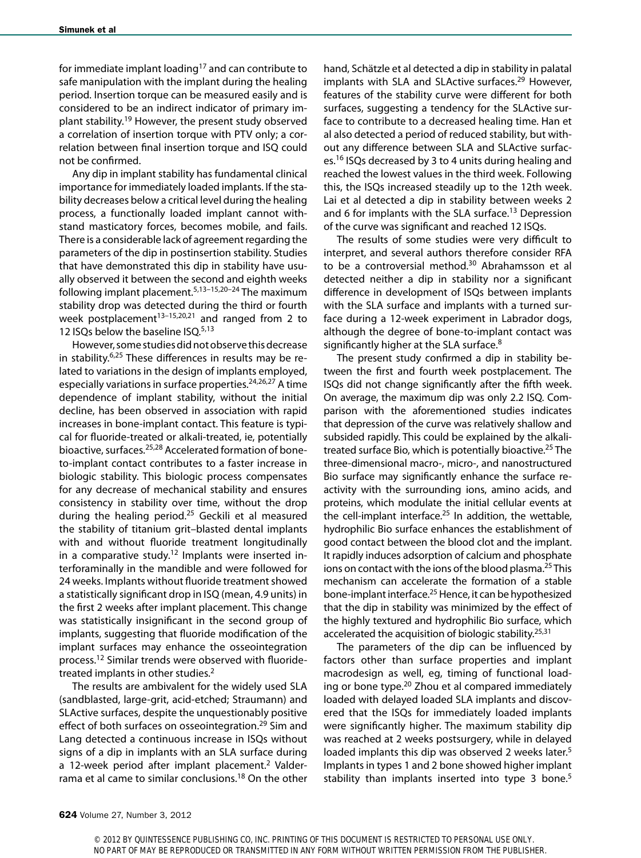for immediate implant loading<sup>17</sup> and can contribute to safe manipulation with the implant during the healing period. Insertion torque can be measured easily and is considered to be an indirect indicator of primary implant stability.19 However, the present study observed a correlation of insertion torque with PTV only; a correlation between final insertion torque and ISQ could not be confirmed.

Any dip in implant stability has fundamental clinical importance for immediately loaded implants. If the stability decreases below a critical level during the healing process, a functionally loaded implant cannot withstand masticatory forces, becomes mobile, and fails. There is a considerable lack of agreement regarding the parameters of the dip in postinsertion stability. Studies that have demonstrated this dip in stability have usually observed it between the second and eighth weeks following implant placement.5,13–15,20–24 The maximum stability drop was detected during the third or fourth week postplacement<sup>13-15,20,21</sup> and ranged from 2 to 12 ISQs below the baseline ISQ.<sup>5,13</sup>

However, some studies did not observe this decrease in stability.6,25 These differences in results may be related to variations in the design of implants employed, especially variations in surface properties.<sup>24,26,27</sup> A time dependence of implant stability, without the initial decline, has been observed in association with rapid increases in bone-implant contact. This feature is typical for fluoride-treated or alkali-treated, ie, potentially bioactive, surfaces.25,28 Accelerated formation of boneto-implant contact contributes to a faster increase in biologic stability. This biologic process compensates for any decrease of mechanical stability and ensures consistency in stability over time, without the drop during the healing period.<sup>25</sup> Geckili et al measured the stability of titanium grit–blasted dental implants with and without fluoride treatment longitudinally in a comparative study.<sup>12</sup> Implants were inserted interforaminally in the mandible and were followed for 24 weeks. Implants without fluoride treatment showed a statistically significant drop in ISQ (mean, 4.9 units) in the first 2 weeks after implant placement. This change was statistically insignificant in the second group of implants, suggesting that fluoride modification of the implant surfaces may enhance the osseointegration process.12 Similar trends were observed with fluoridetreated implants in other studies.<sup>2</sup>

The results are ambivalent for the widely used SLA (sandblasted, large-grit, acid-etched; Straumann) and SLActive surfaces, despite the unquestionably positive effect of both surfaces on osseointegration.<sup>29</sup> Sim and Lang detected a continuous increase in ISQs without signs of a dip in implants with an SLA surface during a 12-week period after implant placement.<sup>2</sup> Valderrama et al came to similar conclusions.<sup>18</sup> On the other

hand, Schätzle et al detected a dip in stability in palatal implants with SLA and SLActive surfaces.<sup>29</sup> However, features of the stability curve were different for both surfaces, suggesting a tendency for the SLActive surface to contribute to a decreased healing time. Han et al also detected a period of reduced stability, but without any difference between SLA and SLActive surfaces.16 ISQs decreased by 3 to 4 units during healing and reached the lowest values in the third week. Following this, the ISQs increased steadily up to the 12th week. Lai et al detected a dip in stability between weeks 2 and 6 for implants with the SLA surface.<sup>13</sup> Depression of the curve was significant and reached 12 ISQs.

The results of some studies were very difficult to interpret, and several authors therefore consider RFA to be a controversial method.<sup>30</sup> Abrahamsson et al detected neither a dip in stability nor a significant difference in development of ISQs between implants with the SLA surface and implants with a turned surface during a 12-week experiment in Labrador dogs, although the degree of bone-to-implant contact was significantly higher at the SLA surface.<sup>8</sup>

The present study confirmed a dip in stability between the first and fourth week postplacement. The ISQs did not change significantly after the fifth week. On average, the maximum dip was only 2.2 ISQ. Comparison with the aforementioned studies indicates that depression of the curve was relatively shallow and subsided rapidly. This could be explained by the alkalitreated surface Bio, which is potentially bioactive.25 The three-dimensional macro-, micro-, and nanostructured Bio surface may significantly enhance the surface reactivity with the surrounding ions, amino acids, and proteins, which modulate the initial cellular events at the cell-implant interface. $25$  In addition, the wettable, hydrophilic Bio surface enhances the establishment of good contact between the blood clot and the implant. It rapidly induces adsorption of calcium and phosphate ions on contact with the ions of the blood plasma.<sup>25</sup> This mechanism can accelerate the formation of a stable bone-implant interface.25 Hence, it can be hypothesized that the dip in stability was minimized by the effect of the highly textured and hydrophilic Bio surface, which accelerated the acquisition of biologic stability.<sup>25,31</sup>

The parameters of the dip can be influenced by factors other than surface properties and implant macrodesign as well, eg, timing of functional loading or bone type.<sup>20</sup> Zhou et al compared immediately loaded with delayed loaded SLA implants and discovered that the ISQs for immediately loaded implants were significantly higher. The maximum stability dip was reached at 2 weeks postsurgery, while in delayed loaded implants this dip was observed 2 weeks later.<sup>5</sup> Implants in types 1 and 2 bone showed higher implant stability than implants inserted into type 3 bone.<sup>5</sup>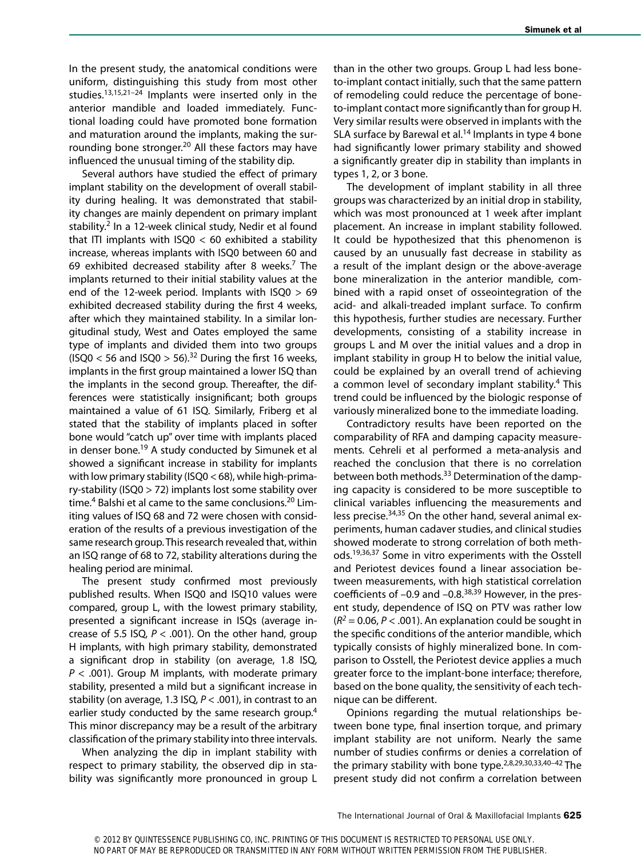In the present study, the anatomical conditions were uniform, distinguishing this study from most other studies.13,15,21–24 Implants were inserted only in the anterior mandible and loaded immediately. Functional loading could have promoted bone formation and maturation around the implants, making the surrounding bone stronger.<sup>20</sup> All these factors may have influenced the unusual timing of the stability dip.

Several authors have studied the effect of primary implant stability on the development of overall stability during healing. It was demonstrated that stability changes are mainly dependent on primary implant stability.<sup>2</sup> In a 12-week clinical study, Nedir et al found that ITI implants with  $ISQ0 < 60$  exhibited a stability increase, whereas implants with ISQ0 between 60 and 69 exhibited decreased stability after 8 weeks.<sup>7</sup> The implants returned to their initial stability values at the end of the 12-week period. Implants with ISQ0 > 69 exhibited decreased stability during the first 4 weeks, after which they maintained stability. In a similar longitudinal study, West and Oates employed the same type of implants and divided them into two groups (ISQ0 < 56 and ISQ0 > 56).<sup>32</sup> During the first 16 weeks, implants in the first group maintained a lower ISQ than the implants in the second group. Thereafter, the differences were statistically insignificant; both groups maintained a value of 61 ISQ. Similarly, Friberg et al stated that the stability of implants placed in softer bone would "catch up" over time with implants placed in denser bone.<sup>19</sup> A study conducted by Simunek et al showed a significant increase in stability for implants with low primary stability (ISQ0 < 68), while high-primary-stability (ISQ0 > 72) implants lost some stability over time.<sup>4</sup> Balshi et al came to the same conclusions.<sup>20</sup> Limiting values of ISQ 68 and 72 were chosen with consideration of the results of a previous investigation of the same research group. This research revealed that, within an ISQ range of 68 to 72, stability alterations during the healing period are minimal.

The present study confirmed most previously published results. When ISQ0 and ISQ10 values were compared, group L, with the lowest primary stability, presented a significant increase in ISQs (average increase of 5.5 ISQ, *P* < .001). On the other hand, group H implants, with high primary stability, demonstrated a significant drop in stability (on average, 1.8 ISQ, *P* < .001). Group M implants, with moderate primary stability, presented a mild but a significant increase in stability (on average, 1.3 ISQ, *P* < .001), in contrast to an earlier study conducted by the same research group.<sup>4</sup> This minor discrepancy may be a result of the arbitrary classification of the primary stability into three intervals.

When analyzing the dip in implant stability with respect to primary stability, the observed dip in stability was significantly more pronounced in group L than in the other two groups. Group L had less boneto-implant contact initially, such that the same pattern of remodeling could reduce the percentage of boneto-implant contact more significantly than for group H. Very similar results were observed in implants with the SLA surface by Barewal et al.<sup>14</sup> Implants in type 4 bone had significantly lower primary stability and showed a significantly greater dip in stability than implants in types 1, 2, or 3 bone.

The development of implant stability in all three groups was characterized by an initial drop in stability, which was most pronounced at 1 week after implant placement. An increase in implant stability followed. It could be hypothesized that this phenomenon is caused by an unusually fast decrease in stability as a result of the implant design or the above-average bone mineralization in the anterior mandible, combined with a rapid onset of osseointegration of the acid- and alkali-treaded implant surface. To confirm this hypothesis, further studies are necessary. Further developments, consisting of a stability increase in groups L and M over the initial values and a drop in implant stability in group H to below the initial value, could be explained by an overall trend of achieving a common level of secondary implant stability.<sup>4</sup> This trend could be influenced by the biologic response of variously mineralized bone to the immediate loading.

Contradictory results have been reported on the comparability of RFA and damping capacity measurements. Cehreli et al performed a meta-analysis and reached the conclusion that there is no correlation between both methods.33 Determination of the damping capacity is considered to be more susceptible to clinical variables influencing the measurements and less precise.34,35 On the other hand, several animal experiments, human cadaver studies, and clinical studies showed moderate to strong correlation of both methods.19,36,37 Some in vitro experiments with the Osstell and Periotest devices found a linear association between measurements, with high statistical correlation coefficients of  $-0.9$  and  $-0.8$ <sup>38,39</sup> However, in the present study, dependence of ISQ on PTV was rather low  $(R^2 = 0.06, P < .001)$ . An explanation could be sought in the specific conditions of the anterior mandible, which typically consists of highly mineralized bone. In comparison to Osstell, the Periotest device applies a much greater force to the implant-bone interface; therefore, based on the bone quality, the sensitivity of each technique can be different.

Opinions regarding the mutual relationships between bone type, final insertion torque, and primary implant stability are not uniform. Nearly the same number of studies confirms or denies a correlation of the primary stability with bone type.<sup>2,8,29,30,33,40-42</sup> The present study did not confirm a correlation between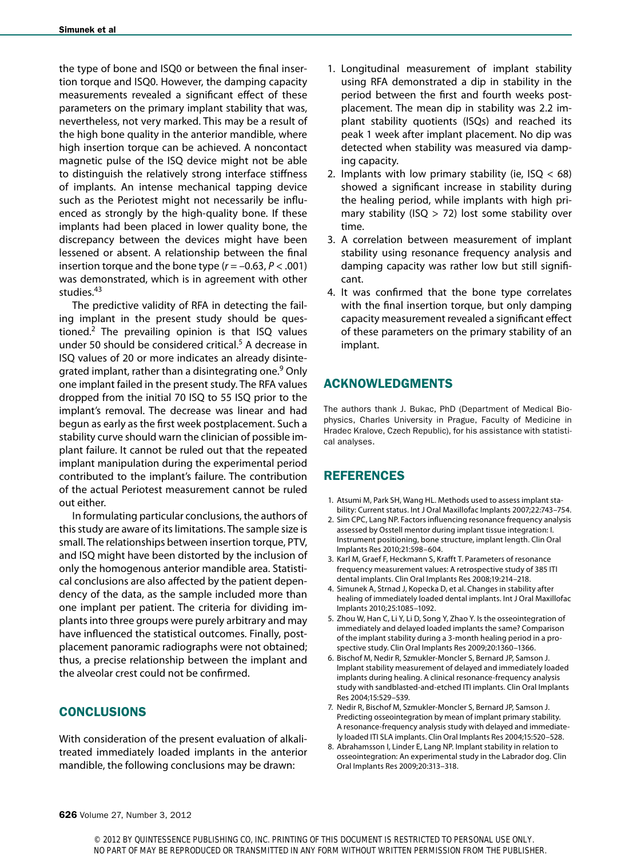the type of bone and ISQ0 or between the final insertion torque and ISQ0. However, the damping capacity measurements revealed a significant effect of these parameters on the primary implant stability that was, nevertheless, not very marked. This may be a result of the high bone quality in the anterior mandible, where high insertion torque can be achieved. A noncontact magnetic pulse of the ISQ device might not be able to distinguish the relatively strong interface stiffness of implants. An intense mechanical tapping device such as the Periotest might not necessarily be influenced as strongly by the high-quality bone. If these implants had been placed in lower quality bone, the discrepancy between the devices might have been lessened or absent. A relationship between the final insertion torque and the bone type  $(r = -0.63, P < .001)$ was demonstrated, which is in agreement with other studies.<sup>43</sup>

The predictive validity of RFA in detecting the failing implant in the present study should be questioned.<sup>2</sup> The prevailing opinion is that ISQ values under 50 should be considered critical.<sup>5</sup> A decrease in ISQ values of 20 or more indicates an already disintegrated implant, rather than a disintegrating one.<sup>9</sup> Only one implant failed in the present study. The RFA values dropped from the initial 70 ISQ to 55 ISQ prior to the implant's removal. The decrease was linear and had begun as early as the first week postplacement. Such a stability curve should warn the clinician of possible implant failure. It cannot be ruled out that the repeated implant manipulation during the experimental period contributed to the implant's failure. The contribution of the actual Periotest measurement cannot be ruled out either.

In formulating particular conclusions, the authors of this study are aware of its limitations. The sample size is small. The relationships between insertion torque, PTV, and ISQ might have been distorted by the inclusion of only the homogenous anterior mandible area. Statistical conclusions are also affected by the patient dependency of the data, as the sample included more than one implant per patient. The criteria for dividing implants into three groups were purely arbitrary and may have influenced the statistical outcomes. Finally, postplacement panoramic radiographs were not obtained; thus, a precise relationship between the implant and the alveolar crest could not be confirmed.

## **CONCLUSIONS**

With consideration of the present evaluation of alkalitreated immediately loaded implants in the anterior mandible, the following conclusions may be drawn:

- 1. Longitudinal measurement of implant stability using RFA demonstrated a dip in stability in the period between the first and fourth weeks postplacement. The mean dip in stability was 2.2 implant stability quotients (ISQs) and reached its peak 1 week after implant placement. No dip was detected when stability was measured via damping capacity.
- 2. Implants with low primary stability (ie,  $ISQ < 68$ ) showed a significant increase in stability during the healing period, while implants with high primary stability (ISQ > 72) lost some stability over time.
- 3. A correlation between measurement of implant stability using resonance frequency analysis and damping capacity was rather low but still significant.
- 4. It was confirmed that the bone type correlates with the final insertion torque, but only damping capacity measurement revealed a significant effect of these parameters on the primary stability of an implant.

## ACKNOWLEDGMENTS

The authors thank J. Bukac, PhD (Department of Medical Biophysics, Charles University in Prague, Faculty of Medicine in Hradec Kralove, Czech Republic), for his assistance with statistical analyses.

# REFERENCES

- 1. Atsumi M, Park SH, Wang HL. Methods used to assess implant stability: Current status. Int J Oral Maxillofac Implants 2007;22:743–754.
- 2. Sim CPC, Lang NP. Factors influencing resonance frequency analysis assessed by Osstell mentor during implant tissue integration: I. Instrument positioning, bone structure, implant length. Clin Oral Implants Res 2010;21:598–604.
- 3. Karl M, Graef F, Heckmann S, Krafft T. Parameters of resonance frequency measurement values: A retrospective study of 385 ITI dental implants. Clin Oral Implants Res 2008;19:214–218.
- 4. Simunek A, Strnad J, Kopecka D, et al. Changes in stability after healing of immediately loaded dental implants. Int J Oral Maxillofac Implants 2010;25:1085–1092.
- 5. Zhou W, Han C, Li Y, Li D, Song Y, Zhao Y. Is the osseointegration of immediately and delayed loaded implants the same? Comparison of the implant stability during a 3-month healing period in a prospective study. Clin Oral Implants Res 2009;20:1360–1366.
- 6. Bischof M, Nedir R, Szmukler-Moncler S, Bernard JP, Samson J. Implant stability measurement of delayed and immediately loaded implants during healing. A clinical resonance-frequency analysis study with sandblasted-and-etched ITI implants. Clin Oral Implants Res 2004;15:529–539.
- 7. Nedir R, Bischof M, Szmukler-Moncler S, Bernard JP, Samson J. Predicting osseointegration by mean of implant primary stability. A resonance-frequency analysis study with delayed and immediately loaded ITI SLA implants. Clin Oral Implants Res 2004;15:520–528.
- 8. Abrahamsson I, Linder E, Lang NP. Implant stability in relation to osseointegration: An experimental study in the Labrador dog. Clin Oral Implants Res 2009;20:313–318.